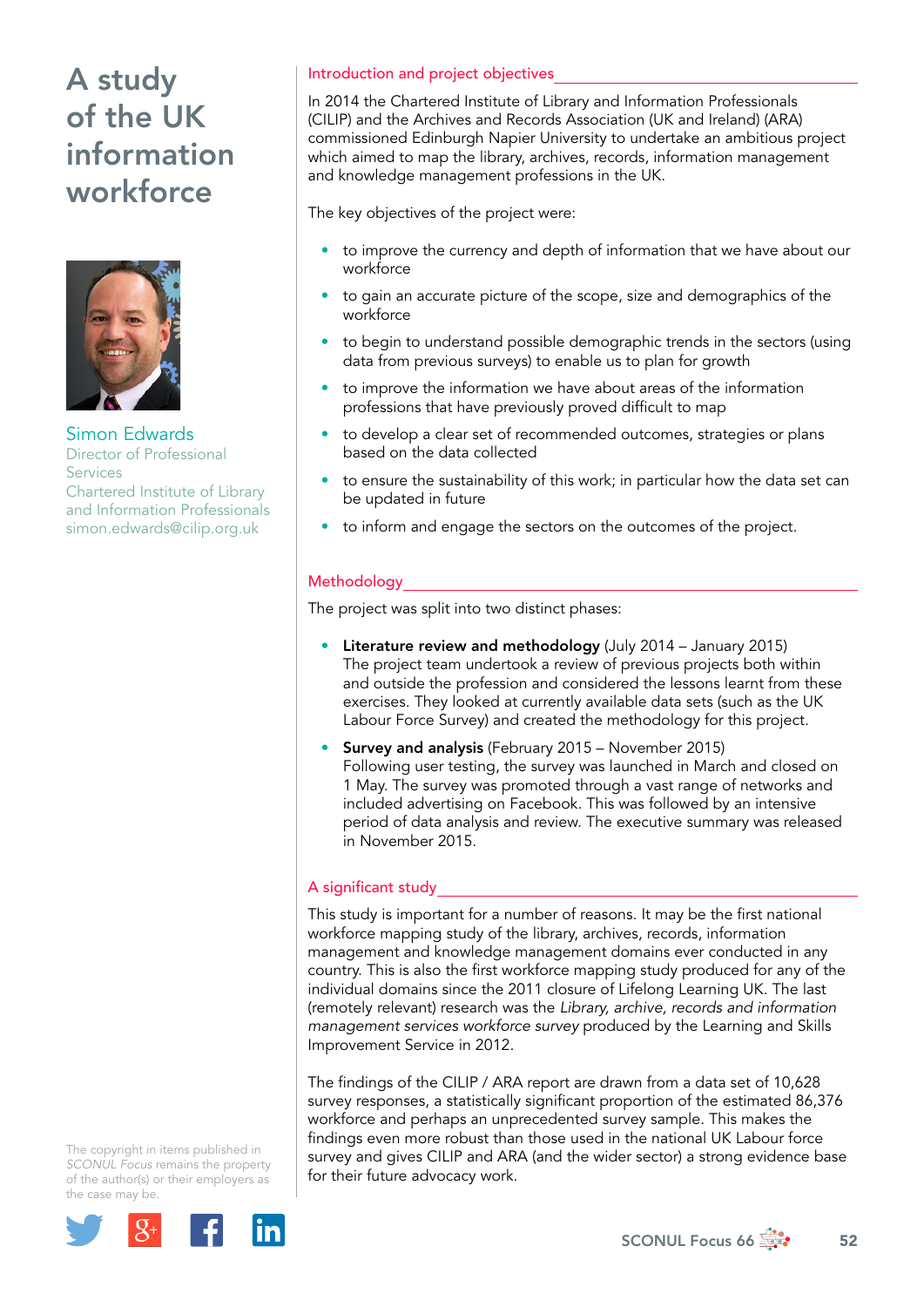

Simon Edwards Director of Professional Services Chartered Institute of Library and Information Professionals [simon.edwards@cilip.org.uk](mailto:simon.edwards@cilip.org.uk)

#### The copyright in items published in *SCONUL Focus* remains the property of the author(s) or their employers as the case may be.



#### Introduction and project objectives

In 2014 the Chartered Institute of Library and Information Professionals (CILIP) and the Archives and Records Association (UK and Ireland) (ARA) commissioned Edinburgh Napier University to undertake an ambitious project which aimed to map the library, archives, records, information management and knowledge management professions in the UK.

The key objectives of the project were:

- to improve the currency and depth of information that we have about our workforce
- to gain an accurate picture of the scope, size and demographics of the workforce
- to begin to understand possible demographic trends in the sectors (using data from previous surveys) to enable us to plan for growth
- to improve the information we have about areas of the information professions that have previously proved difficult to map
- to develop a clear set of recommended outcomes, strategies or plans based on the data collected
- to ensure the sustainability of this work; in particular how the data set can be updated in future
- to inform and engage the sectors on the outcomes of the project.

### Methodology

The project was split into two distinct phases:

- Literature review and methodology (July 2014 January 2015) The project team undertook a review of previous projects both within and outside the profession and considered the lessons learnt from these exercises. They looked at currently available data sets (such as the UK Labour Force Survey) and created the methodology for this project.
- Survey and analysis (February 2015 November 2015) Following user testing, the survey was launched in March and closed on 1 May. The survey was promoted through a vast range of networks and included advertising on Facebook. This was followed by an intensive period of data analysis and review. The executive summary was released in November 2015.

### A significant study

This study is important for a number of reasons. It may be the first national workforce mapping study of the library, archives, records, information management and knowledge management domains ever conducted in any country. This is also the first workforce mapping study produced for any of the individual domains since the 2011 closure of Lifelong Learning UK. The last (remotely relevant) research was the *Library, archive, records and information management services workforce survey* produced by the Learning and Skills Improvement Service in 2012.

The findings of the CILIP / ARA report are drawn from a data set of 10,628 survey responses, a statistically significant proportion of the estimated 86,376 workforce and perhaps an unprecedented survey sample. This makes the findings even more robust than those used in the national UK Labour force survey and gives CILIP and ARA (and the wider sector) a strong evidence base for their future advocacy work.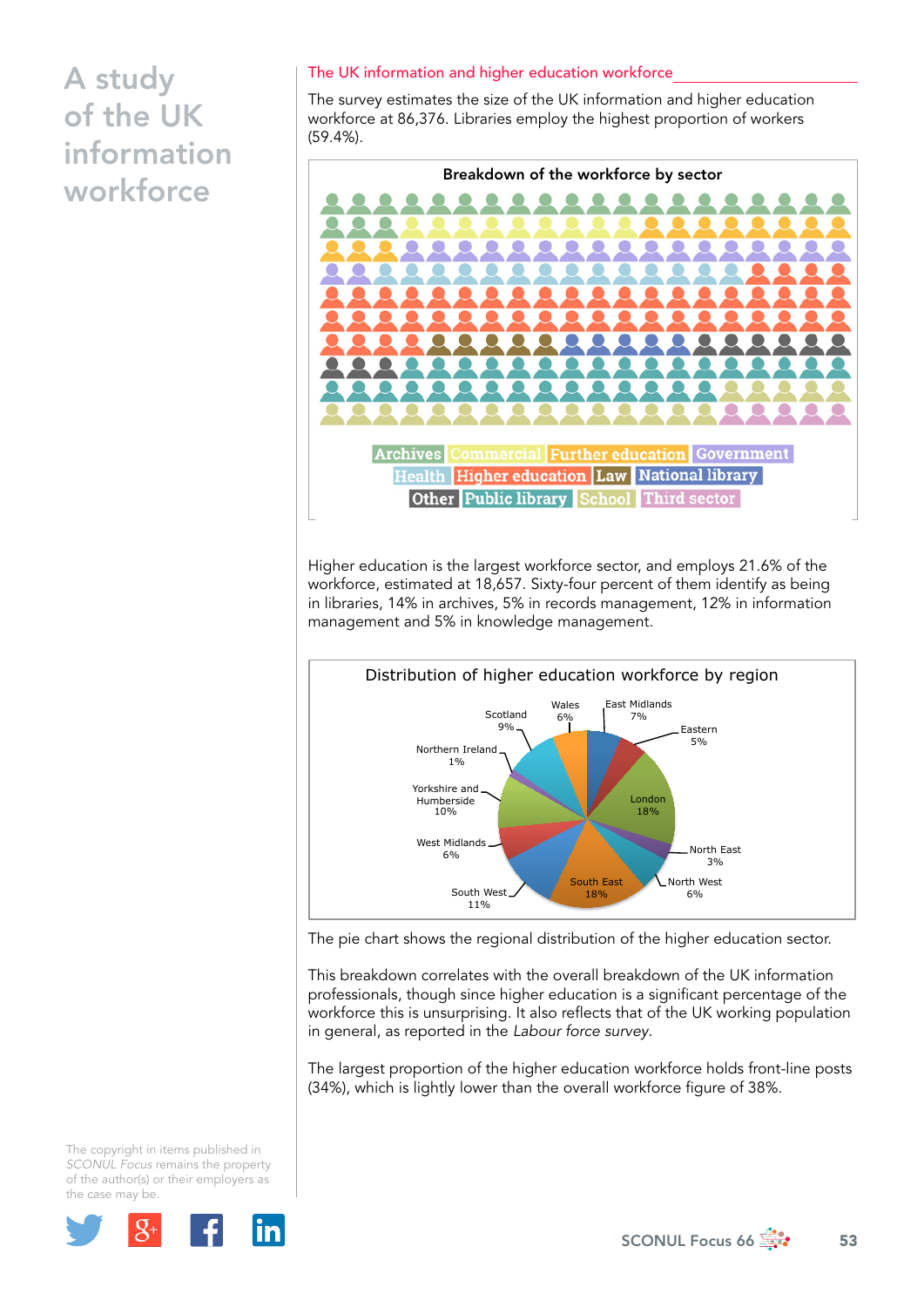#### The UK information and higher education workforce

The survey estimates the size of the UK information and higher education workforce at 86,376. Libraries employ the highest proportion of workers (59.4%).



Higher education is the largest workforce sector, and employs 21.6% of the workforce, estimated at 18,657. Sixty-four percent of them identify as being in libraries, 14% in archives, 5% in records management, 12% in information management and 5% in knowledge management.



The pie chart shows the regional distribution of the higher education sector.

This breakdown correlates with the overall breakdown of the UK information professionals, though since higher education is a significant percentage of the workforce this is unsurprising. It also reflects that of the UK working population in general, as reported in the *Labour force survey*.

The largest proportion of the higher education workforce holds front-line posts (34%), which is lightly lower than the overall workforce figure of 38%.

The copyright in items published in *SCONUL Focus* remains the property of the author(s) or their employers as the case may be.

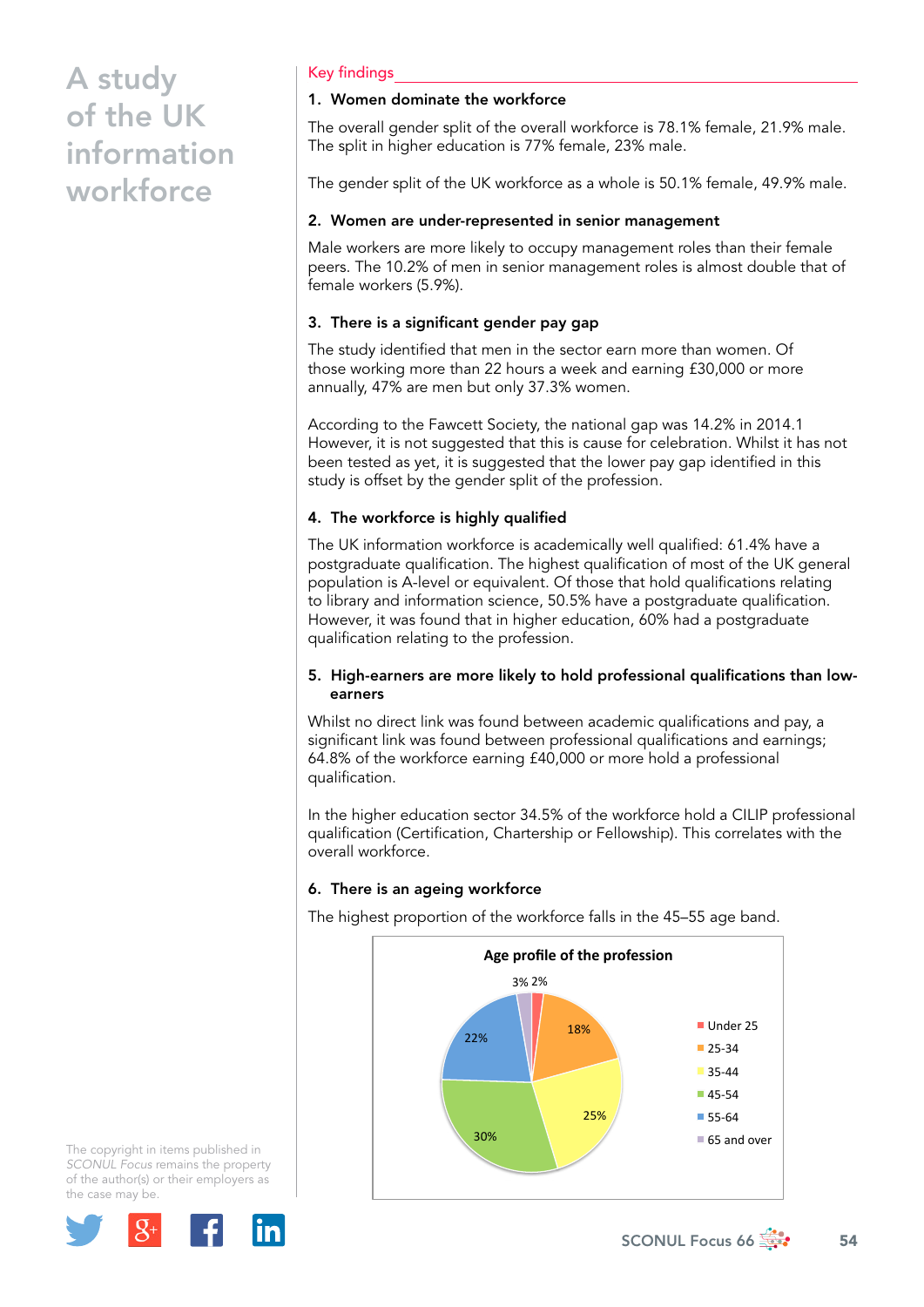#### Key findings

#### 1. Women dominate the workforce

The overall gender split of the overall workforce is 78.1% female, 21.9% male. The split in higher education is 77% female, 23% male.

The gender split of the UK workforce as a whole is 50.1% female, 49.9% male.

#### 2. Women are under-represented in senior management

Male workers are more likely to occupy management roles than their female peers. The 10.2% of men in senior management roles is almost double that of female workers (5.9%).

## 3. There is a significant gender pay gap

The study identified that men in the sector earn more than women. Of those working more than 22 hours a week and earning £30,000 or more annually, 47% are men but only 37.3% women.

According to the Fawcett Society, the national gap was 14.2% in 2014.1 However, it is not suggested that this is cause for celebration. Whilst it has not been tested as yet, it is suggested that the lower pay gap identified in this study is offset by the gender split of the profession.

### 4. The workforce is highly qualified

The UK information workforce is academically well qualified: 61.4% have a postgraduate qualification. The highest qualification of most of the UK general population is A-level or equivalent. Of those that hold qualifications relating to library and information science, 50.5% have a postgraduate qualification. However, it was found that in higher education, 60% had a postgraduate qualification relating to the profession.

#### 5. High-earners are more likely to hold professional qualifications than lowearners

Whilst no direct link was found between academic qualifications and pay, a significant link was found between professional qualifications and earnings; 64.8% of the workforce earning £40,000 or more hold a professional qualification.

In the higher education sector 34.5% of the workforce hold a CILIP professional qualification (Certification, Chartership or Fellowship). This correlates with the overall workforce.

### 6. There is an ageing workforce

The highest proportion of the workforce falls in the 45–55 age band.



The copyright in items published in *SCONUL Focus* remains the property of the author(s) or their employers as the case may be.